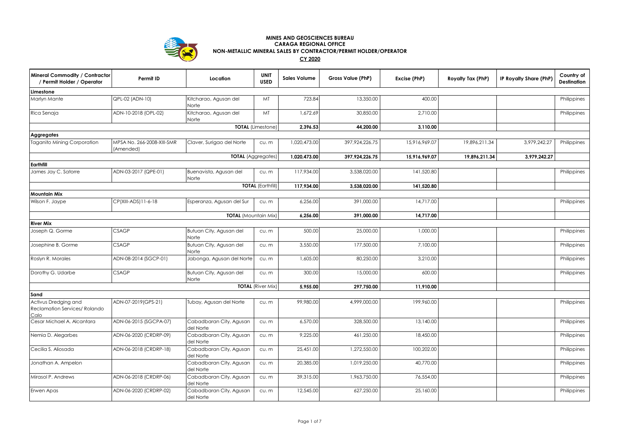

## **MINES AND GEOSCIENCES BUREAU CARAGA REGIONAL OFFICE NON-METALLIC MINERAL SALES BY CONTRACTOR/PERMIT HOLDER/OPERATOR**

**CY 2020**

| Mineral Commodity / Contractor<br>/ Permit Holder / Operator  | Permit ID                               | Location                             | <b>UNIT</b><br><b>USED</b> | <b>Sales Volume</b> | Gross Value (PhP) | Excise (PhP)  | Royalty Tax (PhP) | IP Royalty Share (PhP) | Country of<br><b>Destination</b> |
|---------------------------------------------------------------|-----------------------------------------|--------------------------------------|----------------------------|---------------------|-------------------|---------------|-------------------|------------------------|----------------------------------|
| Limestone                                                     |                                         |                                      |                            |                     |                   |               |                   |                        |                                  |
| Marlyn Mante                                                  | QPL-02 (ADN-10)                         | Kitcharao, Agusan del<br>Norte       | MT                         | 723.84              | 13,350.00         | 400.00        |                   |                        | Philippines                      |
| Rica Senaja                                                   | ADN-10-2018 (OPL-02)                    | Kitcharao, Agusan del<br>Norte       | MT                         | 1,672.69            | 30,850.00         | 2,710.00      |                   |                        | Philippines                      |
|                                                               |                                         |                                      | <b>TOTAL</b> (Limestone)   | 2,396.53            | 44,200.00         | 3,110.00      |                   |                        |                                  |
| <b>Aggregates</b>                                             |                                         |                                      |                            |                     |                   |               |                   |                        |                                  |
| <b>Taganito Mining Corporation</b>                            | MPSA No. 266-2008-XIII-SMR<br>(Amended) | Claver, Surigao del Norte            | cu.m                       | 1,020,473.00        | 397,924,226.75    | 15,916,969.07 | 19,896,211.34     | 3,979,242.27           | Philippines                      |
|                                                               |                                         | <b>TOTAL</b> (Aggregates)            |                            | 1,020,473.00        | 397,924,226.75    | 15,916,969.07 | 19,896,211.34     | 3,979,242.27           |                                  |
| Earthfill                                                     |                                         |                                      |                            |                     |                   |               |                   |                        |                                  |
| James Jay C. Satorre                                          | ADN-03-2017 (QPE-01)                    | Buenavista, Agusan del<br>Norte      | cu.m                       | 117,934.00          | 3,538,020.00      | 141,520.80    |                   |                        | Philippines                      |
|                                                               |                                         |                                      | <b>TOTAL (Earthfill)</b>   | 117,934.00          | 3,538,020.00      | 141,520.80    |                   |                        |                                  |
| <b>Mountain Mix</b>                                           |                                         |                                      |                            |                     |                   |               |                   |                        |                                  |
| Wilson F. Jaype                                               | CP(XIII-ADS)11-6-18                     | Esperanza, Agusan del Sur            | cu.m                       | 6,256.00            | 391,000.00        | 14,717.00     |                   |                        | Philippines                      |
| <b>TOTAL</b> (Mountain Mix)                                   |                                         |                                      |                            |                     | 391,000.00        | 14,717.00     |                   |                        |                                  |
| <b>River Mix</b>                                              |                                         |                                      |                            |                     |                   |               |                   |                        |                                  |
| Joseph Q. Gorme                                               | <b>CSAGP</b>                            | Butuan City, Agusan del<br>Norte     | cu.m                       | 500.00              | 25,000.00         | 1,000.00      |                   |                        | Philippines                      |
| Josephine B. Gorme                                            | <b>CSAGP</b>                            | Butuan City, Agusan del<br>Norte     | cu.m                       | 3,550.00            | 177,500.00        | 7,100.00      |                   |                        | Philippines                      |
| Roslyn R. Morales                                             | ADN-08-2014 (SGCP-01)                   | Jabonga, Agusan del Norte            | cu.m                       | 1,605.00            | 80,250.00         | 3,210.00      |                   |                        | Philippines                      |
| Dorothy G. Udarbe                                             | <b>CSAGP</b>                            | Butuan City, Agusan del<br>Norte     | cu.m                       | 300.00              | 15,000.00         | 600.00        |                   |                        | Philippines                      |
|                                                               |                                         |                                      | <b>TOTAL (River Mix)</b>   | 5,955.00            | 297,750.00        | 11,910.00     |                   |                        |                                  |
| Sand                                                          |                                         |                                      |                            |                     |                   |               |                   |                        |                                  |
| Activus Dredging and<br>Reclamation Services/ Rolando<br>Calo | ADN-07-2019 (GPS-21)                    | Tubay, Agusan del Norte              | cu.m                       | 99,980.00           | 4,999,000.00      | 199,960.00    |                   |                        | Philippines                      |
| Cesar Michael A. Alcantara                                    | ADN-06-2015 (SGCPA-07)                  | Cabadbaran City, Agusan<br>del Norte | cu.m                       | 6,570.00            | 328,500.00        | 13,140.00     |                   |                        | Philippines                      |
| Nemia D. Alegarbes                                            | ADN-06-2020 (CRDRP-09)                  | Cabadbaran City, Agusan<br>del Norte | cu.m                       | 9,225.00            | 461,250.00        | 18,450.00     |                   |                        | Philippines                      |
| Cecilia S. Aliosada                                           | ADN-06-2018 (CRDRP-18)                  | Cabadbaran City, Agusan<br>del Norte | cu.m                       | 25,451.00           | 1,272,550.00      | 100,202.00    |                   |                        | Philippines                      |
| Jonathan A. Ampelon                                           |                                         | Cabadbaran City, Agusan<br>del Norte | cu.m                       | 20,385.00           | 1,019,250.00      | 40,770.00     |                   |                        | Philippines                      |
| Mirasol P. Andrews                                            | ADN-06-2018 (CRDRP-06)                  | Cabadbaran City, Agusan<br>del Norte | cu.m                       | 39,315.00           | 1,963,750.00      | 76,554.00     |                   |                        | Philippines                      |
| Erwen Apas                                                    | ADN-06-2020 (CRDRP-02)                  | Cabadbaran City, Agusan<br>del Norte | cu.m                       | 12,545.00           | 627,250.00        | 25,160.00     |                   |                        | Philippines                      |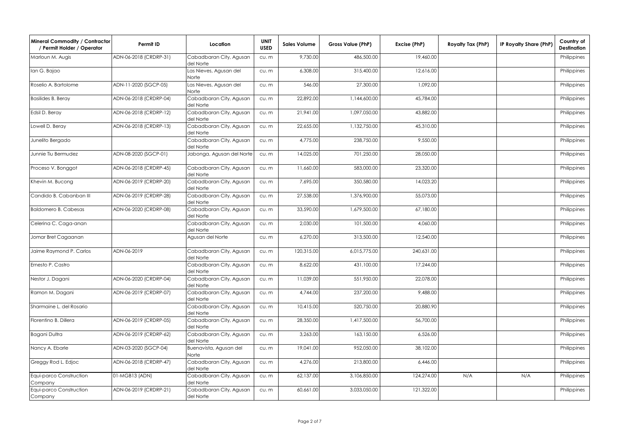| Mineral Commodity / Contractor<br>/ Permit Holder / Operator | Permit ID              | Location                             | <b>UNIT</b><br><b>USED</b> | <b>Sales Volume</b> | Gross Value (PhP) | Excise (PhP) | Royalty Tax (PhP) | IP Royalty Share (PhP) | Country of<br><b>Destination</b> |
|--------------------------------------------------------------|------------------------|--------------------------------------|----------------------------|---------------------|-------------------|--------------|-------------------|------------------------|----------------------------------|
| Marloun M. Augis                                             | ADN-06-2018 (CRDRP-31) | Cabadbaran City, Agusan<br>del Norte | CU. m                      | 9,730.00            | 486,500.00        | 19,460.00    |                   |                        | Philippines                      |
| an G. Bajao                                                  |                        | Las Nieves, Agusan del<br>Norte      | CU. m                      | 6,308.00            | 315,400.00        | 12,616.00    |                   |                        | Philippines                      |
| Roselio A. Bartolome                                         | ADN-11-2020 (SGCP-05)  | Las Nieves, Agusan del<br>Norte      | cu.m                       | 546.00              | 27,300.00         | 1,092.00     |                   |                        | Philippines                      |
| <b>Basilides B. Beray</b>                                    | ADN-06-2018 (CRDRP-04) | Cabadbaran City, Agusan<br>del Norte | cu.m                       | 22,892.00           | 1,144,600.00      | 45,784.00    |                   |                        | Philippines                      |
| Edsil D. Beray                                               | ADN-06-2018 (CRDRP-12) | Cabadbaran City, Agusan<br>del Norte | cu.m                       | 21,941.00           | 1,097,050.00      | 43,882.00    |                   |                        | Philippines                      |
| Lowell D. Beray                                              | ADN-06-2018 (CRDRP-13) | Cabadbaran City, Agusan<br>del Norte | cu.m                       | 22,655.00           | 1,132,750.00      | 45,310.00    |                   |                        | Philippines                      |
| Junelito Bergado                                             |                        | Cabadbaran City, Agusan<br>del Norte | cu.m                       | 4,775.00            | 238,750.00        | 9,550.00     |                   |                        | Philippines                      |
| Junnie Tiu Bermudez                                          | ADN-08-2020 (SGCP-01)  | Jabonga, Agusan del Norte            | cu.m                       | 14,025.00           | 701,250.00        | 28,050.00    |                   |                        | Philippines                      |
| Proceso V. Bonggot                                           | ADN-06-2018 (CRDRP-45) | Cabadbaran City, Agusan<br>del Norte | cu.m                       | 11,660.00           | 583,000.00        | 23,320.00    |                   |                        | Philippines                      |
| Khevin M. Bucong                                             | ADN-06-2019 (CRDRP-20) | Cabadbaran City, Agusan<br>del Norte | cu.m                       | 7,695.00            | 350,580.00        | 14,023.20    |                   |                        | Philippines                      |
| Candido B. Cabanban III                                      | ADN-06-2019 (CRDRP-28) | Cabadbaran City, Agusan<br>del Norte | cu.m                       | 27,538.00           | 1,376,900.00      | 55,073.00    |                   |                        | Philippines                      |
| <b>Baldomero B. Cabesas</b>                                  | ADN-06-2020 (CRDRP-08) | Cabadbaran City, Agusan<br>del Norte | cu.m                       | 33,590.00           | 1,679,500.00      | 67,180.00    |                   |                        | Philippines                      |
| Celerina C. Caga-anan                                        |                        | Cabadbaran City, Agusan<br>del Norte | cu.m                       | 2,030.00            | 101,500.00        | 4,060.00     |                   |                        | Philippines                      |
| Jomar Bret Cagaanan                                          |                        | Agusan del Norte                     | cu.m                       | 6,270.00            | 313,500.00        | 12,540.00    |                   |                        | Philippines                      |
| Jaime Raymond P. Carlos                                      | ADN-06-2019            | Cabadbaran City, Agusan<br>del Norte | cu.m                       | 120,315.00          | 6,015,775.00      | 240,631.00   |                   |                        | Philippines                      |
| Ernesto P. Castro                                            |                        | Cabadbaran City, Agusan<br>del Norte | cu.m                       | 8,622.00            | 431,100.00        | 17,244.00    |                   |                        | Philippines                      |
| Nestor J. Dagani                                             | ADN-06-2020 (CRDRP-04) | Cabadbaran City, Agusan<br>del Norte | cu.m                       | 11,039.00           | 551,950.00        | 22,078.00    |                   |                        | Philippines                      |
| Ramon M. Dagani                                              | ADN-06-2019 (CRDRP-07) | Cabadbaran City, Agusan<br>del Norte | cu.m                       | 4,744.00            | 237,200.00        | 9,488.00     |                   |                        | Philippines                      |
| Sharmaine L. del Rosario                                     |                        | Cabadbaran City, Agusan<br>del Norte | cu.m                       | 10,415.00           | 520,750.00        | 20,880.90    |                   |                        | Philippines                      |
| Florentino B. Dillera                                        | ADN-06-2019 (CRDRP-05) | Cabadbaran City, Agusan<br>del Norte | cu.m                       | 28,350.00           | 1,417,500.00      | 56,700.00    |                   |                        | Philippines                      |
| Bagani Dultra                                                | ADN-06-2019 (CRDRP-62) | Cabadbaran City, Agusan<br>del Norte | cu.m                       | 3,263.00            | 163,150.00        | 6,526.00     |                   |                        | Philippines                      |
| Nancy A. Ebarle                                              | ADN-03-2020 (SGCP-04)  | Buenavista, Agusan del<br>Norte      | cu.m                       | 19,041.00           | 952,050.00        | 38,102.00    |                   |                        | Philippines                      |
| Greggy Rod L. Edjoc                                          | ADN-06-2018 (CRDRP-47) | Cabadbaran City, Agusan<br>del Norte | cu.m                       | 4,276.00            | 213,800.00        | 6,446.00     |                   |                        | Philippines                      |
| Equi-parco Construction<br>Company                           | 01-MGB13 (ADN)         | Cabadbaran City, Agusan<br>del Norte | cu.m                       | 62,137.00           | 3,106,850.00      | 124,274.00   | N/A               | N/A                    | Philippines                      |
| Equi-parco Construction<br>Company                           | ADN-06-2019 (CRDRP-21) | Cabadbaran City, Agusan<br>del Norte | cu.m                       | 60,661.00           | 3,033,050.00      | 121,322.00   |                   |                        | Philippines                      |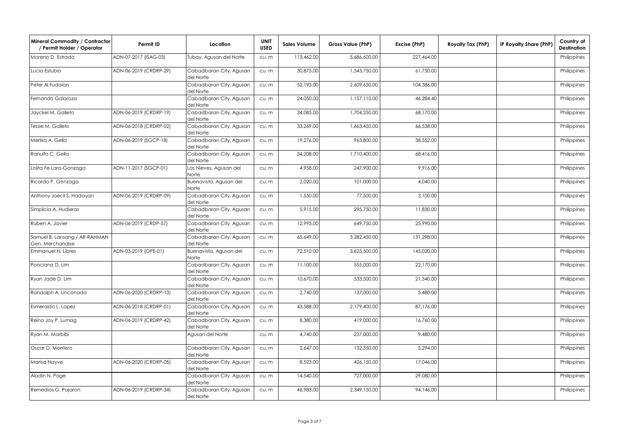| Mineral Commodity / Contractor<br>/ Permit Holder / Operator | Permit ID              | Location                             | <b>UNIT</b><br><b>USED</b> | <b>Sales Volume</b> | Gross Value (PhP) | Excise (PhP) | Royalty Tax (PhP) | IP Royalty Share (PhP) | Country of<br><b>Destination</b> |
|--------------------------------------------------------------|------------------------|--------------------------------------|----------------------------|---------------------|-------------------|--------------|-------------------|------------------------|----------------------------------|
| Moreno D. Estrada                                            | ADN-07-2017 (ISAG-03)  | Tubay, Agusan del Norte              | CU. m                      | 113,462.00          | 5,686,600.00      | 227,464.00   |                   |                        | Philippines                      |
| Lucia Estubio                                                | ADN-06-2019 (CRDRP-29) | Cabadbaran City, Agusan<br>del Norte | cu.m                       | 30,875.00           | 1,543,750.00      | 61,750.00    |                   |                        | Philippines                      |
| Peter Al Fudalan                                             |                        | Cabadbaran City, Agusan<br>del Norte | cu.m                       | 52,193.00           | 2,609,650.00      | 104,386.00   |                   |                        | Philippines                      |
| Fernando Galaroza                                            |                        | Cabadbaran City, Agusan<br>del Norte | cu.m                       | 24,050.00           | 1,157,110.00      | 46,284.40    |                   |                        | Philippines                      |
| Jayckel M. Galleto                                           | ADN-06-2019 (CRDRP-19) | Cabadbaran City, Agusan<br>del Norte | cu.m                       | 34,085.00           | 1,704,250.00      | 68,170.00    |                   |                        | Philippines                      |
| Tessie M. Galleto                                            | ADN-06-2018 (CRDRP-02) | Cabadbaran City, Agusan<br>del Norte | cu.m                       | 33,269.00           | 1,663,450.00      | 66,538.00    |                   |                        | Philippines                      |
| Merlisa A. Gella                                             | ADN-06-2019 (SGCP-18)  | Cabadbaran City, Agusan<br>del Norte | cu.m                       | 19,276.00           | 963,800.00        | 38,552.00    |                   |                        | Philippines                      |
| Ranulfo C. Gella                                             |                        | Cabadbaran City, Agusan<br>del Norte | cu.m                       | 34,208.00           | 1,710,400.00      | 68,416.00    |                   |                        | Philippines                      |
| Lolita Fe Lara-Gonzaga                                       | ADN-11-2017 (SGCP-01)  | Las Nieves, Agusan del<br>Norte      | cu.m                       | 4,958.00            | 247,900.00        | 9,916.00     |                   |                        | Philippines                      |
| Ricardo P. Gonzaga                                           |                        | Buenavista, Agusan del<br>Norte      | cu.m                       | 2,020.00            | 101,000.00        | 4,040.00     |                   |                        | Philippines                      |
| Anthony Joecil S. Hadayan                                    | ADN-06-2019 (CRDRP-09) | Cabadbaran City, Agusan<br>del Norte | cu.m                       | 1,550.00            | 77,500.00         | 3,100.00     |                   |                        | Philippines                      |
| Simplicia A. Hudieras                                        |                        | Cabadbaran City, Agusan<br>del Norte | cu.m                       | 5,915.00            | 295,750.00        | 11,830.00    |                   |                        | Philippines                      |
| Ruben A. Javier                                              | ADN-06-2019 (CRDP-57)  | Cabadbaran City, Agusan<br>del Norte | cu.m                       | 12,995.00           | 649,750.00        | 25,990.00    |                   |                        | Philippines                      |
| Samuel B. Lansang / AR-RAHMAN<br>Gen. Merchandise            |                        | Cabadbaran City, Agusan<br>del Norte | cu.m                       | 65,649.00           | 3,282,450.00      | 131,298.00   |                   |                        | Philippines                      |
| Emmanuel N. Libres                                           | ADN-03-2019 (OPE-01)   | Buenavista, Agusan del<br>Norte      | cu.m                       | 72,510.00           | 3,625,500.00      | 145,020.00   |                   |                        | Philippines                      |
| Ponciana D. Lim                                              |                        | Cabadbaran City, Agusan<br>del Norte | cu.m                       | 11,100.00           | 555,000.00        | 22,170.00    |                   |                        | Philippines                      |
| Ryan Jade D. Lim                                             |                        | Cabadbaran City, Agusan<br>del Norte | cu.m                       | 10,670.00           | 533,500.00        | 21,340.00    |                   |                        | Philippines                      |
| Randolph A. Linconada                                        | ADN-06-2020 (CRDRP-13) | Cabadbaran City, Agusan<br>del Norte | cu.m                       | 2,740.00            | 137,000.00        | 5,480.00     |                   |                        | Philippines                      |
| Esmeraldo L. Lopez                                           | ADN-06-2018 (CRDRP-01) | Cabadbaran City, Agusan<br>del Norte | cu.m                       | 43,588.00           | 2,179,400.00      | 87,176.00    |                   |                        | Philippines                      |
| Reina Joy P. Lumag                                           | ADN-06-2019 (CRDRP-42) | Cabadbaran City, Agusan<br>del Norte | CU. m                      | 8,380.00            | 419,000.00        | 16,760.00    |                   |                        | Philippines                      |
| Ryan M. Marbibi                                              |                        | Agusan del Norte                     | CU. m                      | 4,740.00            | 237,000.00        | 9,480.00     |                   |                        | Philippines                      |
| Oscar D. Montero                                             |                        | Cabadbaran City, Agusan<br>del Norte | cu.m                       | 2,647.00            | 132,350.00        | 5,294.00     |                   |                        | Philippines                      |
| Marisa Nayve                                                 | ADN-06-2020 (CRDRP-05) | Cabadbaran City, Agusan<br>del Norte | cu.m                       | 8,523.00            | 426,150.00        | 17,046.00    |                   |                        | Philippines                      |
| Aladin N. Page                                               |                        | Cabadbaran City, Agusan<br>del Norte | cu.m                       | 14,540.00           | 727,000.00        | 29,080.00    |                   |                        | Philippines                      |
| Remedios G. Pajaron                                          | ADN-06-2019 (CRDRP-34) | Cabadbaran City, Agusan<br>del Norte | cu.m                       | 46,983.00           | 2,349,150.00      | 94,146.00    |                   |                        | Philippines                      |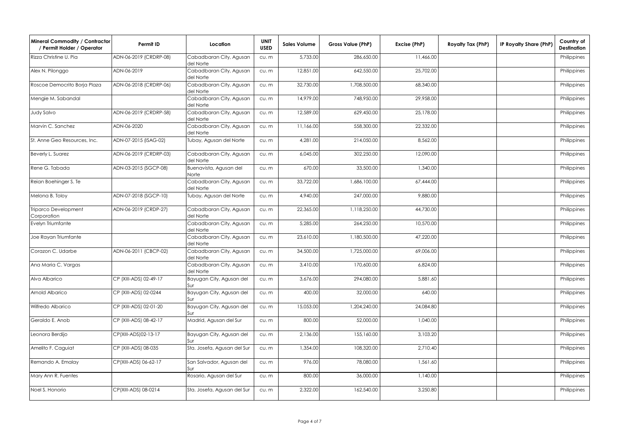| Mineral Commodity / Contractor<br>/ Permit Holder / Operator | Permit ID              | Location                             | <b>UNIT</b><br><b>USED</b> | <b>Sales Volume</b> | Gross Value (PhP) | Excise (PhP) | Royalty Tax (PhP) | IP Royalty Share (PhP) | Country of<br>Destination |
|--------------------------------------------------------------|------------------------|--------------------------------------|----------------------------|---------------------|-------------------|--------------|-------------------|------------------------|---------------------------|
| Rizza Christine U. Pia                                       | ADN-06-2019 (CRDRP-08) | Cabadbaran City, Agusan<br>del Norte | CU. m                      | 5,733.00            | 286,650.00        | 11,466.00    |                   |                        | Philippines               |
| Alex N. Pilonggo                                             | ADN-06-2019            | Cabadbaran City, Agusan<br>del Norte | cu.m                       | 12,851.00           | 642,550.00        | 25,702.00    |                   |                        | Philippines               |
| Roscoe Democrito Borja Plaza                                 | ADN-06-2018 (CRDRP-06) | Cabadbaran City, Agusan<br>del Norte | cu.m                       | 32,730.00           | 1,708,500.00      | 68,340.00    |                   |                        | Philippines               |
| Mengie M. Sabandal                                           |                        | Cabadbaran City, Agusan<br>del Norte | cu.m                       | 14,979.00           | 748,950.00        | 29,958.00    |                   |                        | Philippines               |
| Judy Salvo                                                   | ADN-06-2019 (CRDRP-58) | Cabadbaran City, Agusan<br>del Norte | cu.m                       | 12,589.00           | 629,450.00        | 25,178.00    |                   |                        | Philippines               |
| Marvin C. Sanchez                                            | ADN-06-2020            | Cabadbaran City, Agusan<br>del Norte | cu.m                       | 11,166.00           | 558,300.00        | 22,332.00    |                   |                        | Philippines               |
| St. Anne Geo Resources, Inc.                                 | ADN-07-2015 (ISAG-02)  | Tubay, Agusan del Norte              | cu.m                       | 4,281.00            | 214,050.00        | 8,562.00     |                   |                        | Philippines               |
| Beverly L. Suarez                                            | ADN-06-2019 (CRDRP-03) | Cabadbaran City, Agusan<br>del Norte | cu.m                       | 6,045.00            | 302,250.00        | 12,090.00    |                   |                        | Philippines               |
| Rene G. Tabada                                               | ADN-03-2015 (SGCP-08)  | Buenavista, Agusan del<br>Norte      | cu.m                       | 670.00              | 33,500.00         | 1,340.00     |                   |                        | Philippines               |
| Reian Boehinger S. Te                                        |                        | Cabadbaran City, Agusan<br>del Norte | cu.m                       | 33,722.00           | 1,686,100.00      | 67,444.00    |                   |                        | Philippines               |
| Melona B. Toloy                                              | ADN-07-2018 (SGCP-10)  | Tubay, Agusan del Norte              | cu.m                       | 4,940.00            | 247,000.00        | 9,880.00     |                   |                        | Philippines               |
| Triparco Development<br>Corporation                          | ADN-06-2019 (CRDP-27)  | Cabadbaran City, Agusan<br>del Norte | cu.m                       | 22,365.00           | 1,118,250.00      | 44,730.00    |                   |                        | Philippines               |
| Evelyn Triumfante                                            |                        | Cabadbaran City, Agusan<br>del Norte | cu.m                       | 5,285.00            | 264,250.00        | 10,570.00    |                   |                        | Philippines               |
| Joe Rayan Triumfante                                         |                        | Cabadbaran City, Agusan<br>del Norte | cu.m                       | 23,610.00           | 1,180,500.00      | 47,220.00    |                   |                        | Philippines               |
| Corazon C. Udarbe                                            | ADN-06-2011 (CBCP-02)  | Cabadbaran City, Agusan<br>del Norte | cu.m                       | 34,500.00           | 1,725,000.00      | 69,006.00    |                   |                        | Philippines               |
| Ana Maria C. Vargas                                          |                        | Cabadbaran City, Agusan<br>del Norte | cu.m                       | 3,410.00            | 170,600.00        | 6,824.00     |                   |                        | Philippines               |
| Alva Albarico                                                | CP (XIII-ADS) 02-49-17 | Bayugan City, Agusan del<br>Sur      | cu.m                       | 3,676.00            | 294,080.00        | 5,881.60     |                   |                        | Philippines               |
| Arnold Albarico                                              | CP (XIII-ADS) 02-0244  | Bayugan City, Agusan del<br>Sui      | cu.m                       | 400.00              | 32,000.00         | 640.00       |                   |                        | Philippines               |
| Wilfredo Albarico                                            | CP (XIII-ADS) 02-01-20 | Bayugan City, Agusan del<br>Sur      | cu.m                       | 15,053.00           | 1,204,240.00      | 24,084.80    |                   |                        | Philippines               |
| Geraldo E. Anob                                              | CP (XIII-ADS) 08-42-17 | Madrid, Agusan del Sur               | CU. m                      | 800.00              | 52,000.00         | 1,040.00     |                   |                        | Philippines               |
| Leonora Berdijo                                              | CP(XIII-ADS)02-13-17   | Bayugan City, Agusan del<br>Sur      | cu.m                       | 2,136.00            | 155,160.00        | 3,103.20     |                   |                        | Philippines               |
| Amelito F. Caguiat                                           | CP (XIII-ADS) 08-035   | Sta. Josefa, Agusan del Sur          | cu.m                       | 1,354.00            | 108,320.00        | 2,710.40     |                   |                        | Philippines               |
| Remando A. Emalay                                            | CP(XIII-ADS) 06-62-17  | San Salvador, Agusan del<br>Sur      | cu.m                       | 976.00              | 78,080.00         | 1,561.60     |                   |                        | Philippines               |
| Mary Ann R. Fuentes                                          |                        | Rosario, Agusan del Sur              | cu.m                       | 800.00              | 36,000.00         | 1,140.00     |                   |                        | Philippines               |
| Noel S. Honorio                                              | CP(XIII-ADS) 08-0214   | Sta. Josefa, Agusan del Sur          | cu.m                       | 2,322.00            | 162,540.00        | 3,250.80     |                   |                        | Philippines               |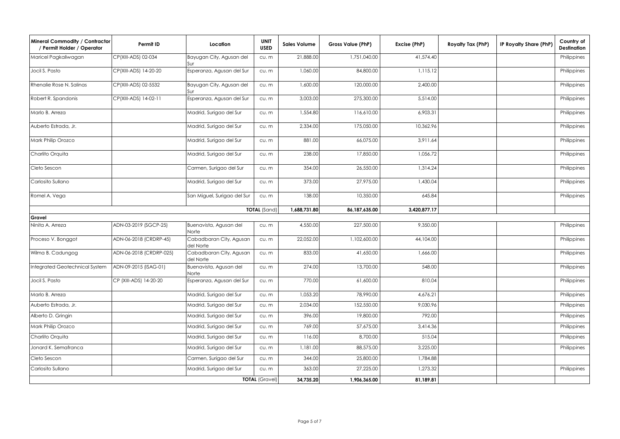| <b>Mineral Commodity / Contractor</b><br>/ Permit Holder / Operator | Permit ID               | Location                             | <b>UNIT</b><br><b>USED</b> | <b>Sales Volume</b> | Gross Value (PhP) | Excise (PhP) | Royalty Tax (PhP) | IP Royalty Share (PhP) | Country of<br><b>Destination</b> |
|---------------------------------------------------------------------|-------------------------|--------------------------------------|----------------------------|---------------------|-------------------|--------------|-------------------|------------------------|----------------------------------|
| Maricel Pagkaliwagan                                                | CP(XIII-ADS) 02-034     | Bayugan City, Agusan del<br>Sur      | CU. m                      | 21,888.00           | 1,751,040.00      | 41,574.40    |                   |                        | Philippines                      |
| Jocil S. Pasto                                                      | CP(XIII-ADS) 14-20-20   | Esperanza, Agusan del Sur            | CU. m                      | 1,060.00            | 84,800.00         | 1,115.12     |                   |                        | Philippines                      |
| Rhenalie Rose N. Salinas                                            | CP(XIII-ADS) 02-5532    | Bayugan City, Agusan del<br>Sur      | cu.m                       | 1,600.00            | 120,000.00        | 2,400.00     |                   |                        | Philippines                      |
| Robert R. Spandonis                                                 | CP(XIII-ADS) 14-02-11   | Esperanza, Agusan del Sur            | cu.m                       | 3,003.00            | 275,300.00        | 5,514.00     |                   |                        | Philippines                      |
| Marlo B. Arreza                                                     |                         | Madrid, Surigao del Sur              | cu.m                       | 1,554.80            | 116,610.00        | 6,903.31     |                   |                        | Philippines                      |
| Auberto Estrada, Jr.                                                |                         | Madrid, Surigao del Sur              | cu.m                       | 2,334.00            | 175,050.00        | 10,362.96    |                   |                        | Philippines                      |
| Mark Philip Orozco                                                  |                         | Madrid, Surigao del Sur              | cu.m                       | 881.00              | 66,075.00         | 3,911.64     |                   |                        | Philippines                      |
| Charlito Orquita                                                    |                         | Madrid, Surigao del Sur              | cu.m                       | 238.00              | 17,850.00         | 1,056.72     |                   |                        | Philippines                      |
| Cleto Sescon                                                        |                         | Carmen, Surigao del Sur              | cu.m                       | 354.00              | 26,550.00         | 1,314.24     |                   |                        | Philippines                      |
| Carlosito Sullano                                                   |                         | Madrid, Surigao del Sur              | cu.m                       | 373.00              | 27,975.00         | 1,430.04     |                   |                        | Philippines                      |
| Romel A. Vega                                                       |                         | San Miguel, Surigao del Sur          | cu.m                       | 138.00              | 10,350.00         | 645.84       |                   |                        | Philippines                      |
|                                                                     |                         |                                      | <b>TOTAL</b> (Sand)        | 1,688,731.80        | 86,187,635.00     | 3,420,877.17 |                   |                        |                                  |
| Gravel                                                              |                         |                                      |                            |                     |                   |              |                   |                        |                                  |
| Ninita A. Arreza                                                    | ADN-03-2019 (SGCP-25)   | Buenavista, Agusan del<br>Norte      | cu.m                       | 4,550.00            | 227,500.00        | 9,350.00     |                   |                        | Philippines                      |
| Proceso V. Bonggot                                                  | ADN-06-2018 (CRDRP-45)  | Cabadbaran City, Agusan<br>del Norte | CU. m                      | 22,052.00           | 1,102,600.00      | 44,104.00    |                   |                        | Philippines                      |
| Wilma B. Cadungog                                                   | ADN-06-2018 (CRDRP-025) | Cabadbaran City, Agusan<br>del Norte | CU. m                      | 833.00              | 41,650.00         | 1,666.00     |                   |                        | Philippines                      |
| Integrated Geotechnical System                                      | ADN-09-2015 (ISAG-01)   | Buenavista, Agusan del<br>Norte      | cu.m                       | 274.00              | 13,700.00         | 548.00       |                   |                        | Philippines                      |
| Jocil S. Pasto                                                      | CP (XIII-ADS) 14-20-20  | Esperanza, Agusan del Sur            | cu.m                       | 770.00              | 61,600.00         | 810.04       |                   |                        | Philippines                      |
| Marlo B. Arreza                                                     |                         | Madrid, Surigao del Sur              | cu.m                       | 1,053.20            | 78,990.00         | 4,676.21     |                   |                        | Philippines                      |
| Auberto Estrada, Jr.                                                |                         | Madrid, Surigao del Sur              | cu.m                       | 2,034.00            | 152,550.00        | 9,030.96     |                   |                        | Philippines                      |
| Alberto D. Gringin                                                  |                         | Madrid, Surigao del Sur              | cu.m                       | 396.00              | 19,800.00         | 792.00       |                   |                        | Philippines                      |
| Mark Philip Orozco                                                  |                         | Madrid, Surigao del Sur              | cu.m                       | 769.00              | 57,675.00         | 3,414.36     |                   |                        | Philippines                      |
| Charlito Orquita                                                    |                         | Madrid, Surigao del Sur              | CU. m                      | 116.00              | 8,700.00          | 515.04       |                   |                        | Philippines                      |
| Jonard K. Semafranca                                                |                         | Madrid, Surigao del Sur              | cu.m                       | 1,181.00            | 88,575.00         | 3,225.00     |                   |                        | Philippines                      |
| Cleto Sescon                                                        |                         | Carmen, Surigao del Sur              | cu.m                       | 344.00              | 25,800.00         | 1,784.88     |                   |                        |                                  |
| Carlosito Sullano                                                   |                         | Madrid, Surigao del Sur              | cu.m                       | 363.00              | 27,225.00         | 1,273.32     |                   |                        | Philippines                      |
| <b>TOTAL (Gravel)</b>                                               |                         |                                      |                            |                     | 1,906,365.00      | 81,189.81    |                   |                        |                                  |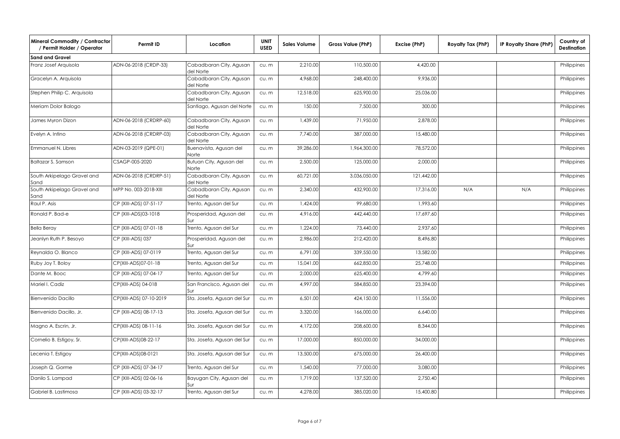| Mineral Commodity / Contractor<br>/ Permit Holder / Operator | Permit ID               | Location                             | <b>UNIT</b><br><b>USED</b> | <b>Sales Volume</b> | Gross Value (PhP) | Excise (PhP) | Royalty Tax (PhP) | IP Royalty Share (PhP) | Country of<br><b>Destination</b> |
|--------------------------------------------------------------|-------------------------|--------------------------------------|----------------------------|---------------------|-------------------|--------------|-------------------|------------------------|----------------------------------|
| <b>Sand and Gravel</b>                                       |                         |                                      |                            |                     |                   |              |                   |                        |                                  |
| Franz Josef Arquisola                                        | ADN-06-2018 (CRDP-33)   | Cabadbaran City, Agusan<br>del Norte | cu.m                       | 2,210.00            | 110,500.00        | 4,420.00     |                   |                        | Philippines                      |
| Gracelyn A. Arquisola                                        |                         | Cabadbaran City, Agusan<br>del Norte | cu.m                       | 4,968.00            | 248,400.00        | 9,936.00     |                   |                        | Philippines                      |
| Stephen Philip C. Arquisola                                  |                         | Cabadbaran City, Agusan<br>del Norte | CU. m                      | 12,518.00           | 625,900.00        | 25,036.00    |                   |                        | Philippines                      |
| Meriam Dolor Balogo                                          |                         | Santiago, Agusan del Norte           | cu.m                       | 150.00              | 7,500.00          | 300.00       |                   |                        | Philippines                      |
| James Myron Dizon                                            | ADN-06-2018 (CRDRP-60)  | Cabadbaran City, Agusan<br>del Norte | cu.m                       | 1,439.00            | 71,950.00         | 2,878.00     |                   |                        | Philippines                      |
| Evelyn A. Intino                                             | ADN-06-2018 (CRDRP-03)  | Cabadbaran City, Agusan<br>del Norte | cu.m                       | 7,740.00            | 387,000.00        | 15,480.00    |                   |                        | Philippines                      |
| Emmanuel N. Libres                                           | ADN-03-2019 (QPE-01)    | Buenavista, Agusan del<br>Norte      | cu.m                       | 39,286.00           | 1,964,300.00      | 78,572.00    |                   |                        | Philippines                      |
| <b>Baltazar S. Samson</b>                                    | CSAGP-005-2020          | Butuan City, Agusan del<br>Norte     | CU. m                      | 2,500.00            | 125,000.00        | 2,000.00     |                   |                        | Philippines                      |
| South Arkipelago Gravel and<br>Sand                          | ADN-06-2018 (CRDRP-51)  | Cabadbaran City, Agusan<br>del Norte | cu.m                       | 60,721.00           | 3,036,050.00      | 121,442.00   |                   |                        | Philippines                      |
| South Arkipelago Gravel and<br>Sand                          | MPP No. 003-2018-XIII   | Cabadbaran City, Agusan<br>del Norte | cu.m                       | 2,340.00            | 432,900.00        | 17,316.00    | N/A               | N/A                    | Philippines                      |
| Raul P. Asis                                                 | CP (XIII-ADS) 07-51-17  | Trento, Agusan del Sur               | cu.m                       | 1,424.00            | 99,680.00         | 1,993.60     |                   |                        | Philippines                      |
| Ronald P. Bad-e                                              | CP (XIII-ADS)03-1018    | Prosperidad, Agusan del<br>Sur       | cu.m                       | 4,916.00            | 442,440.00        | 17,697.60    |                   |                        | Philippines                      |
| <b>Bella Beray</b>                                           | CP (XIII-ADS) 07-01-18  | Trento, Agusan del Sur               | cu.m                       | 1,224.00            | 73,440.00         | 2,937.60     |                   |                        | Philippines                      |
| Jeanlyn Ruth P. Besoyo                                       | CP (XIII-ADS) 037       | Prosperidad, Agusan del<br>Sur       | CU. m                      | 2,986.00            | 212,420.00        | 8,496.80     |                   |                        | Philippines                      |
| Reynalda O. Blanco                                           | CP (XIII-ADS) 07-0119   | Trento, Agusan del Sur               | CU. m                      | 6,791.00            | 339,550.00        | 13,582.00    |                   |                        | Philippines                      |
| Ruby Joy T. Boloy                                            | CP(XIII-ADS)07-01-18    | Trento, Agusan del Sur               | cu.m                       | 15,041.00           | 662,850.00        | 25,748.00    |                   |                        | Philippines                      |
| Dante M. Booc                                                | CP (XIII-ADS) 07-04-17  | Trento, Agusan del Sur               | cu.m                       | 2,000.00            | 625,400.00        | 4,799.60     |                   |                        | Philippines                      |
| Mariel I. Cadiz                                              | CP(XIII-ADS) 04-018     | San Francisco, Agusan del<br>Sur     | cu.m                       | 4,997.00            | 584,850.00        | 23,394.00    |                   |                        | Philippines                      |
| Bienvenido Dacillo                                           | CP(XIII-ADS) 07-10-2019 | Sta. Josefa, Agusan del Sur          | cu.m                       | 6,501.00            | 424,150.00        | 11,556.00    |                   |                        | Philippines                      |
| Bienvenido Dacillo, Jr.                                      | CP (XIII-ADS) 08-17-13  | Sta. Josefa, Agusan del Sur          | cu.m                       | 3,320.00            | 166,000.00        | 6,640.00     |                   |                        | Philippines                      |
| Magno A. Escrin, Jr.                                         | CP(XIII-ADS) 08-11-16   | Sta. Josefa, Agusan del Sur          | cu.m                       | 4,172.00            | 208,600.00        | 8,344.00     |                   |                        | Philippines                      |
| Cornelio B. Estigoy, Sr.                                     | CP(XIII-ADS)08-22-17    | Sta. Josefa, Agusan del Sur          | cu.m                       | 17,000.00           | 850,000.00        | 34,000.00    |                   |                        | Philippines                      |
| Lecenia T. Estigoy                                           | CP(XIII-ADS)08-0121     | Sta. Josefa, Agusan del Sur          | cu.m                       | 13,500.00           | 675,000.00        | 26,400.00    |                   |                        | Philippines                      |
| Joseph Q. Gorme                                              | CP (XIII-ADS) 07-34-17  | Trento, Agusan del Sur               | cu.m                       | 1,540.00            | 77,000.00         | 3,080.00     |                   |                        | Philippines                      |
| Danilo S. Lampad                                             | CP (XIII-ADS) 02-06-16  | Bayugan City, Agusan del<br>Sur      | cu.m                       | 1,719.00            | 137,520.00        | 2,750.40     |                   |                        | Philippines                      |
| Gabriel B. Lastimosa                                         | CP (XIII-ADS) 03-32-17  | Trento, Agusan del Sur               | cu.m                       | 4,278.00            | 385,020.00        | 15,400.80    |                   |                        | Philippines                      |